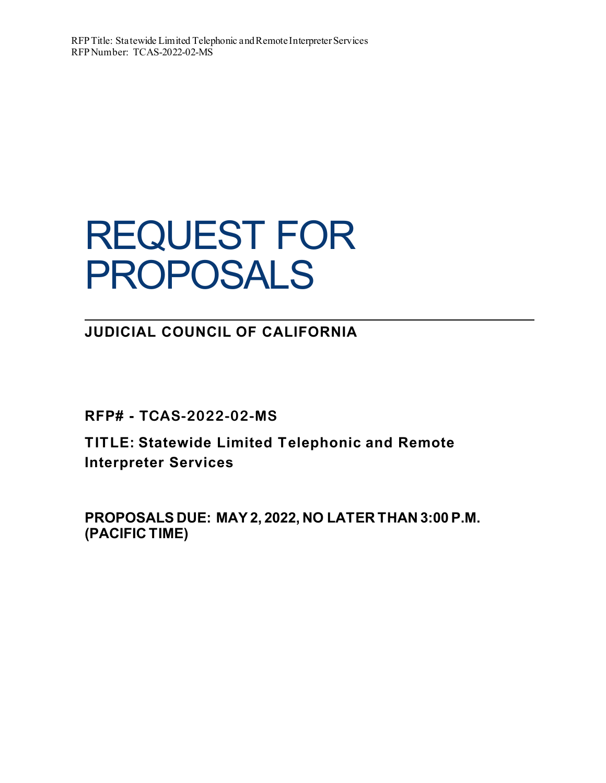# REQUEST FOR PROPOSALS

**JUDICIAL COUNCIL OF CALIFORNIA**

**RFP# - TCAS-2022-02-MS**

**TITLE: Statewide Limited Telephonic and Remote Interpreter Services**

**PROPOSALS DUE: MAY 2, 2022, NO LATER THAN 3:00 P.M. (PACIFIC TIME)**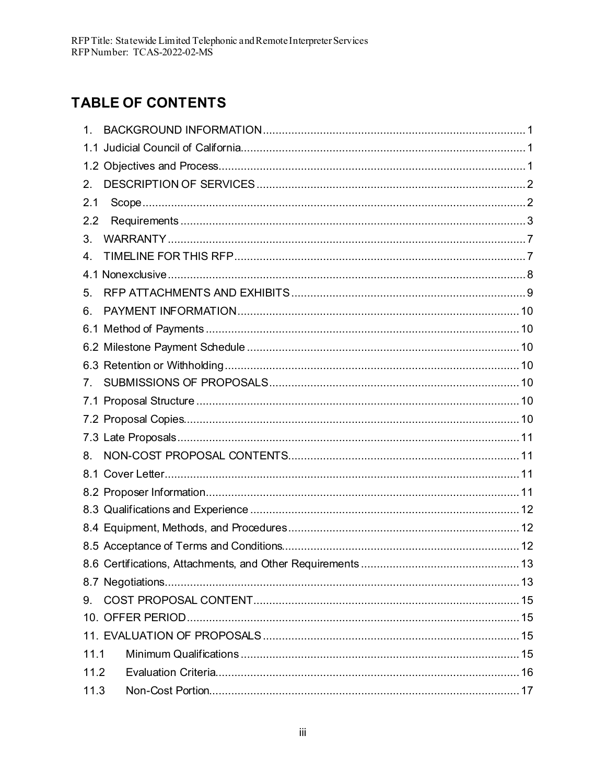# **TABLE OF CONTENTS**

| 1.                               |  |
|----------------------------------|--|
|                                  |  |
|                                  |  |
| $2_{-}$                          |  |
| 2.1                              |  |
| 2.2                              |  |
| 3.                               |  |
| 4.                               |  |
|                                  |  |
| 5.                               |  |
| 6.                               |  |
|                                  |  |
|                                  |  |
|                                  |  |
| $7_{\scriptscriptstyle{\wedge}}$ |  |
|                                  |  |
|                                  |  |
|                                  |  |
| 8.                               |  |
|                                  |  |
|                                  |  |
|                                  |  |
|                                  |  |
|                                  |  |
|                                  |  |
|                                  |  |
|                                  |  |
|                                  |  |
|                                  |  |
| 11.1                             |  |
| 11.2                             |  |
| 11.3                             |  |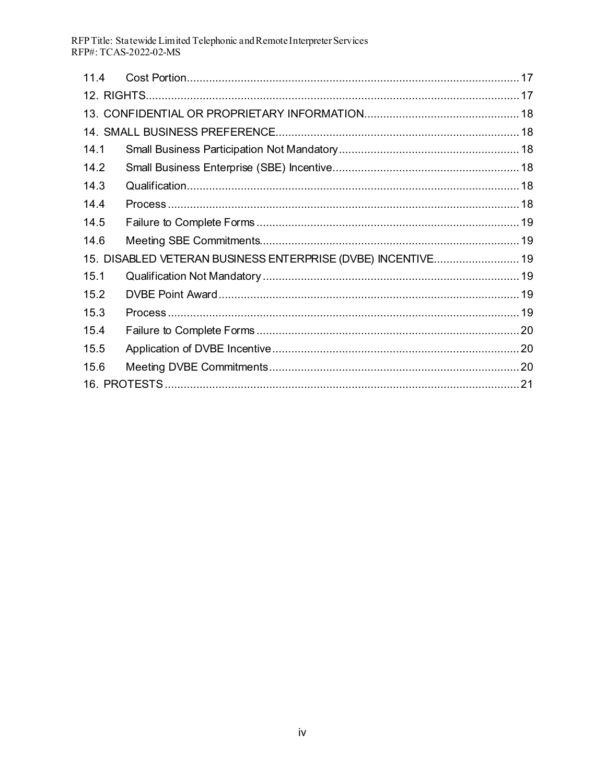RFP Title: Statewide Limited Telephonic and Remote Interpreter Services<br>RFP#: TCAS-2022-02-MS

| 114  |                                                              |  |  |  |
|------|--------------------------------------------------------------|--|--|--|
|      |                                                              |  |  |  |
|      |                                                              |  |  |  |
|      |                                                              |  |  |  |
| 14.1 |                                                              |  |  |  |
| 14.2 |                                                              |  |  |  |
| 14.3 |                                                              |  |  |  |
| 14.4 |                                                              |  |  |  |
| 14.5 |                                                              |  |  |  |
| 14.6 |                                                              |  |  |  |
|      | 15. DISABLED VETERAN BUSINESS ENTERPRISE (DVBE) INCENTIVE 19 |  |  |  |
| 15.1 |                                                              |  |  |  |
| 15.2 |                                                              |  |  |  |
| 15.3 |                                                              |  |  |  |
| 15.4 |                                                              |  |  |  |
| 15.5 |                                                              |  |  |  |
| 15.6 |                                                              |  |  |  |
|      |                                                              |  |  |  |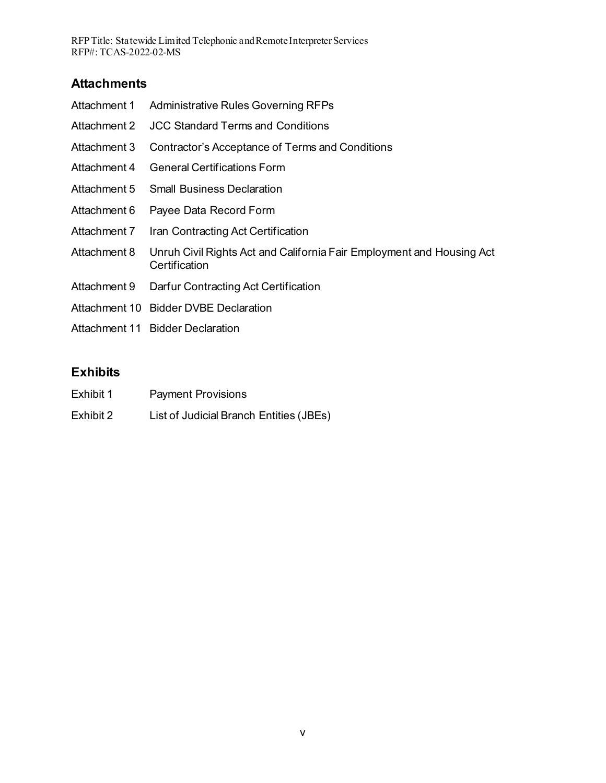RFP Title: Statewide Limited Telephonic and Remote Interpreter Services RFP#: TCAS-2022-02-MS

### **Attachments**

| Attachment 1 | <b>Administrative Rules Governing RFPs</b>                                             |
|--------------|----------------------------------------------------------------------------------------|
| Attachment 2 | <b>JCC Standard Terms and Conditions</b>                                               |
| Attachment 3 | Contractor's Acceptance of Terms and Conditions                                        |
| Attachment 4 | <b>General Certifications Form</b>                                                     |
| Attachment 5 | <b>Small Business Declaration</b>                                                      |
| Attachment 6 | Payee Data Record Form                                                                 |
| Attachment 7 | Iran Contracting Act Certification                                                     |
| Attachment 8 | Unruh Civil Rights Act and California Fair Employment and Housing Act<br>Certification |
| Attachment 9 | Darfur Contracting Act Certification                                                   |
|              | Attachment 10 Bidder DVBE Declaration                                                  |
|              | Attachment 11 Bidder Declaration                                                       |

# **Exhibits**

| Exhibit 1 | <b>Payment Provisions</b> |
|-----------|---------------------------|
|-----------|---------------------------|

Exhibit 2 List of Judicial Branch Entities (JBEs)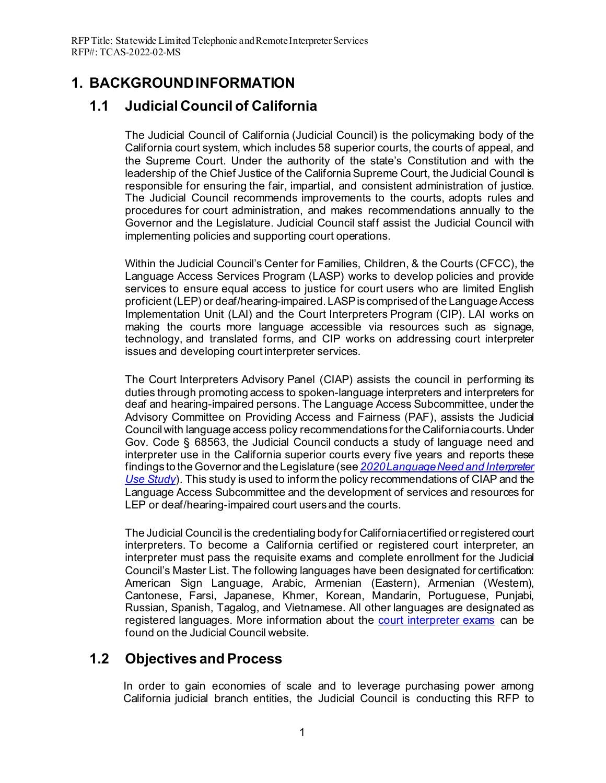# <span id="page-5-0"></span>**1. BACKGROUND INFORMATION**

# <span id="page-5-1"></span>**1.1 Judicial Council of California**

The Judicial Council of California (Judicial Council) is the policymaking body of the California court system, which includes 58 superior courts, the courts of appeal, and the Supreme Court. Under the authority of the state's Constitution and with the leadership of the Chief Justice of the California Supreme Court, the Judicial Council is responsible for ensuring the fair, impartial, and consistent administration of justice. The Judicial Council recommends improvements to the courts, adopts rules and procedures for court administration, and makes recommendations annually to the Governor and the Legislature. Judicial Council staff assist the Judicial Council with implementing policies and supporting court operations.

Within the Judicial Council's Center for Families, Children, & the Courts (CFCC), the Language Access Services Program (LASP) works to develop policies and provide services to ensure equal access to justice for court users who are limited English proficient (LEP) or deaf/hearing-impaired. LASP is comprised of the Language Access Implementation Unit (LAI) and the Court Interpreters Program (CIP). LAI works on making the courts more language accessible via resources such as signage, technology, and translated forms, and CIP works on addressing court interpreter issues and developing court interpreter services.

The Court Interpreters Advisory Panel (CIAP) assists the council in performing its duties through promoting access to spoken-language interpreters and interpreters for deaf and hearing-impaired persons. The Language Access Subcommittee, under the Advisory Committee on Providing Access and Fairness (PAF), assists the Judicial Council with language access policy recommendations for the California courts. Under Gov. Code § 68563, the Judicial Council conducts a study of language need and interpreter use in the California superior courts every five years and reports these findings to the Governor and the Legislature (see *[2020 Language Need and Interpreter](https://www.courts.ca.gov/documents/2020-Language-Need-and-Interpreter-Use-Study-Report-to-the-Legislature.pdf)  [Use Study](https://www.courts.ca.gov/documents/2020-Language-Need-and-Interpreter-Use-Study-Report-to-the-Legislature.pdf)*). This study is used to inform the policy recommendations of CIAP and the Language Access Subcommittee and the development of services and resources for LEP or deaf/hearing-impaired court users and the courts.

The Judicial Council is the credentialing body for California certified or registered court interpreters. To become a California certified or registered court interpreter, an interpreter must pass the requisite exams and complete enrollment for the Judicial Council's Master List. The following languages have been designated for certification: American Sign Language, Arabic, Armenian (Eastern), Armenian (Western), Cantonese, Farsi, Japanese, Khmer, Korean, Mandarin, Portuguese, Punjabi, Russian, Spanish, Tagalog, and Vietnamese. All other languages are designated as registered languages. More information about the [court interpreter exams](https://www.courts.ca.gov/2695.htm) can be found on the Judicial Council website.

### <span id="page-5-2"></span>**1.2 Objectives and Process**

In order to gain economies of scale and to leverage purchasing power among California judicial branch entities, the Judicial Council is conducting this RFP to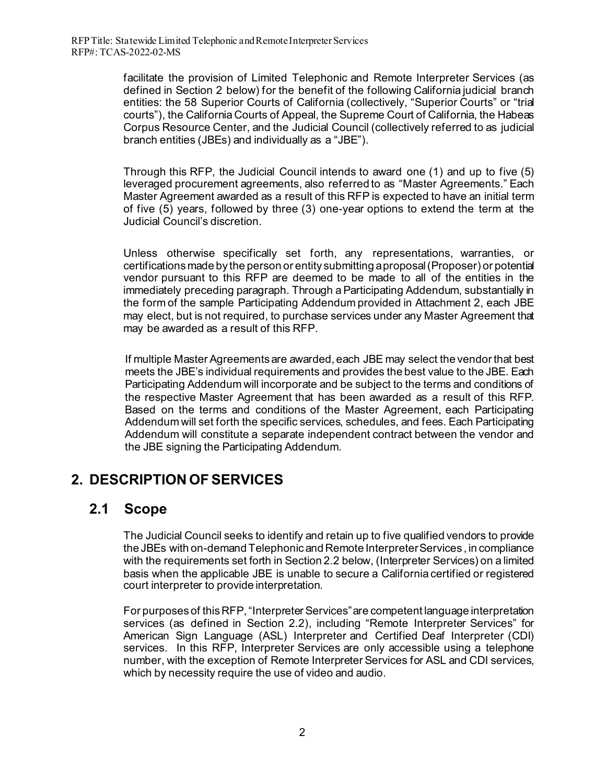facilitate the provision of Limited Telephonic and Remote Interpreter Services (as defined in Section 2 below) for the benefit of the following California judicial branch entities: the 58 Superior Courts of California (collectively, "Superior Courts" or "trial courts"), the California Courts of Appeal, the Supreme Court of California, the Habeas Corpus Resource Center, and the Judicial Council (collectively referred to as judicial branch entities (JBEs) and individually as a "JBE").

Through this RFP, the Judicial Council intends to award one (1) and up to five (5) leveraged procurement agreements, also referred to as "Master Agreements." Each Master Agreement awarded as a result of this RFP is expected to have an initial term of five (5) years, followed by three (3) one-year options to extend the term at the Judicial Council's discretion.

Unless otherwise specifically set forth, any representations, warranties, or certifications made by the person or entity submitting a proposal (Proposer) or potential vendor pursuant to this RFP are deemed to be made to all of the entities in the immediately preceding paragraph. Through a Participating Addendum, substantially in the form of the sample Participating Addendum provided in Attachment 2, each JBE may elect, but is not required, to purchase services under any Master Agreement that may be awarded as a result of this RFP.

If multiple Master Agreements are awarded, each JBE may select the vendor that best meets the JBE's individual requirements and provides the best value to the JBE. Each Participating Addendum will incorporate and be subject to the terms and conditions of the respective Master Agreement that has been awarded as a result of this RFP. Based on the terms and conditions of the Master Agreement, each Participating Addendum will set forth the specific services, schedules, and fees. Each Participating Addendum will constitute a separate independent contract between the vendor and the JBE signing the Participating Addendum.

# <span id="page-6-0"></span>**2. DESCRIPTION OF SERVICES**

### <span id="page-6-1"></span>**2.1 Scope**

The Judicial Council seeks to identify and retain up to five qualified vendors to provide the JBEs with on-demand Telephonic and Remote Interpreter Services , in compliance with the requirements set forth in Section 2.2 below, (Interpreter Services) on a limited basis when the applicable JBE is unable to secure a California certified or registered court interpreter to provide interpretation.

For purposes of this RFP, "Interpreter Services" are competent language interpretation services (as defined in Section 2.2), including "Remote Interpreter Services" for American Sign Language (ASL) Interpreter and Certified Deaf Interpreter (CDI) services. In this RFP, Interpreter Services are only accessible using a telephone number, with the exception of Remote Interpreter Services for ASL and CDI services, which by necessity require the use of video and audio.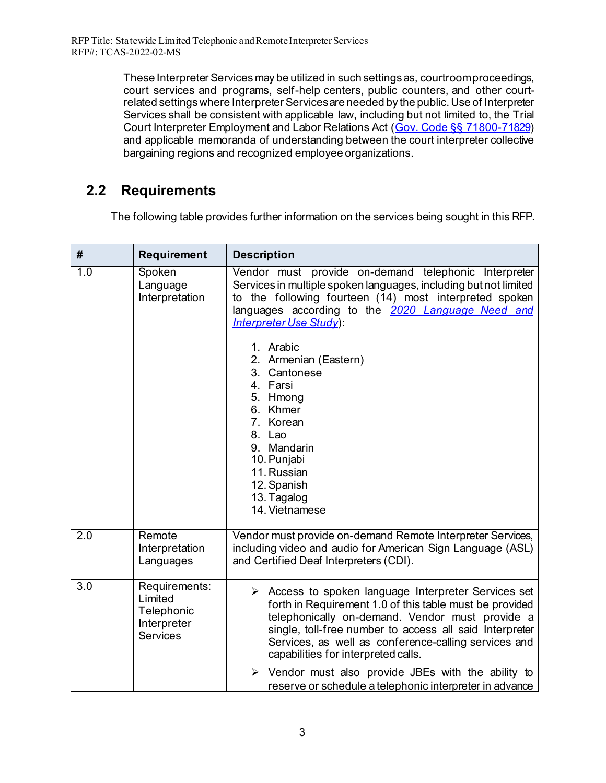RFP Title: Statewide Limited Telephonic and Remote Interpreter Services RFP#: TCAS-2022-02-MS

> These Interpreter Services may be utilized in such settings as, courtroom proceedings, court services and programs, self-help centers, public counters, and other courtrelated settings where Interpreter Services are needed by the public. Use of Interpreter Services shall be consistent with applicable law, including but not limited to, the Trial Court Interpreter Employment and Labor Relations Act [\(Gov. Code §§ 71800-71829\)](https://leginfo.legislature.ca.gov/faces/codes_displayText.xhtml?lawCode=GOV&division=&title=8.&part=&chapter=7.5.&article=) and applicable memoranda of understanding between the court interpreter collective bargaining regions and recognized employee organizations.

### <span id="page-7-0"></span> **2.2 Requirements**

The following table provides further information on the services being sought in this RFP.

| #   | <b>Requirement</b>                                                       | <b>Description</b>                                                                                                                                                                                                                                                                                                                                                                                                                                                               |
|-----|--------------------------------------------------------------------------|----------------------------------------------------------------------------------------------------------------------------------------------------------------------------------------------------------------------------------------------------------------------------------------------------------------------------------------------------------------------------------------------------------------------------------------------------------------------------------|
| 1.0 | Spoken<br>Language<br>Interpretation                                     | Vendor must provide on-demand telephonic Interpreter<br>Services in multiple spoken languages, including but not limited<br>to the following fourteen (14) most interpreted spoken<br>languages according to the 2020 Language Need and<br>Interpreter Use Study):<br>1. Arabic<br>2. Armenian (Eastern)<br>3. Cantonese<br>4. Farsi<br>5. Hmong<br>6. Khmer<br>7. Korean<br>8. Lao<br>9. Mandarin<br>10. Punjabi<br>11. Russian<br>12. Spanish<br>13. Tagalog<br>14. Vietnamese |
| 2.0 | Remote<br>Interpretation<br>Languages                                    | Vendor must provide on-demand Remote Interpreter Services,<br>including video and audio for American Sign Language (ASL)<br>and Certified Deaf Interpreters (CDI).                                                                                                                                                                                                                                                                                                               |
| 3.0 | Requirements:<br>Limited<br>Telephonic<br>Interpreter<br><b>Services</b> | $\triangleright$ Access to spoken language Interpreter Services set<br>forth in Requirement 1.0 of this table must be provided<br>telephonically on-demand. Vendor must provide a<br>single, toll-free number to access all said Interpreter<br>Services, as well as conference-calling services and<br>capabilities for interpreted calls.<br>$\triangleright$ Vendor must also provide JBEs with the ability to<br>reserve or schedule a telephonic interpreter in advance     |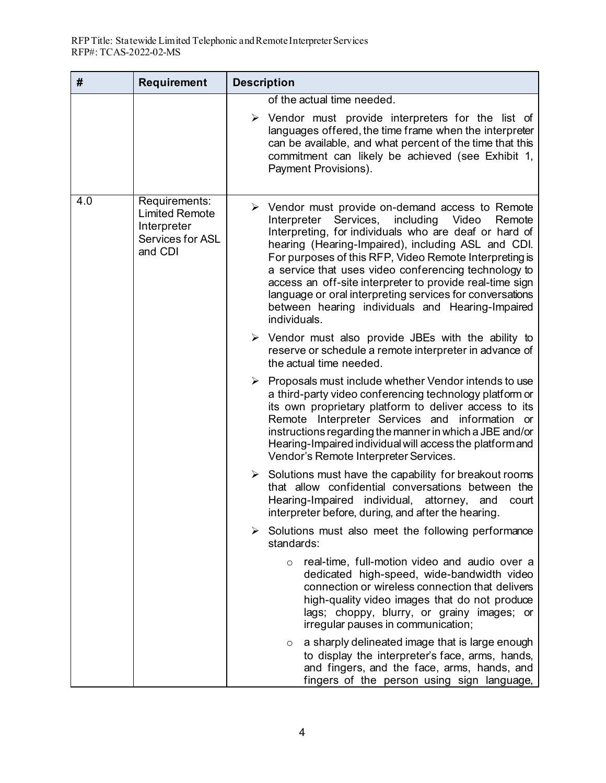| #   | Requirement                                                                                 | <b>Description</b>                                                                                                                                                                                                                                                                                                                                                                                                                                                                                                                                    |
|-----|---------------------------------------------------------------------------------------------|-------------------------------------------------------------------------------------------------------------------------------------------------------------------------------------------------------------------------------------------------------------------------------------------------------------------------------------------------------------------------------------------------------------------------------------------------------------------------------------------------------------------------------------------------------|
|     |                                                                                             | of the actual time needed.<br>$\triangleright$ Vendor must provide interpreters for the list of<br>languages offered, the time frame when the interpreter<br>can be available, and what percent of the time that this<br>commitment can likely be achieved (see Exhibit 1,<br>Payment Provisions).                                                                                                                                                                                                                                                    |
| 4.0 | Requirements:<br><b>Limited Remote</b><br>Interpreter<br><b>Services for ASL</b><br>and CDI | $\triangleright$ Vendor must provide on-demand access to Remote<br>Interpreter Services,<br>including<br>Video<br>Remote<br>Interpreting, for individuals who are deaf or hard of<br>hearing (Hearing-Impaired), including ASL and CDI.<br>For purposes of this RFP, Video Remote Interpreting is<br>a service that uses video conferencing technology to<br>access an off-site interpreter to provide real-time sign<br>language or oral interpreting services for conversations<br>between hearing individuals and Hearing-Impaired<br>individuals. |
|     |                                                                                             | $\triangleright$ Vendor must also provide JBEs with the ability to<br>reserve or schedule a remote interpreter in advance of<br>the actual time needed.                                                                                                                                                                                                                                                                                                                                                                                               |
|     |                                                                                             | $\triangleright$ Proposals must include whether Vendor intends to use<br>a third-party video conferencing technology platform or<br>its own proprietary platform to deliver access to its<br>Remote Interpreter Services and information or<br>instructions regarding the manner in which a JBE and/or<br>Hearing-Impaired individual will access the platform and<br>Vendor's Remote Interpreter Services.                                                                                                                                           |
|     |                                                                                             | $\triangleright$ Solutions must have the capability for breakout rooms<br>that allow confidential conversations between the<br>Hearing-Impaired individual, attorney,<br>and<br>court<br>interpreter before, during, and after the hearing                                                                                                                                                                                                                                                                                                            |
|     |                                                                                             | $\triangleright$ Solutions must also meet the following performance<br>standards:                                                                                                                                                                                                                                                                                                                                                                                                                                                                     |
|     |                                                                                             | real-time, full-motion video and audio over a<br>$\circ$<br>dedicated high-speed, wide-bandwidth video<br>connection or wireless connection that delivers<br>high-quality video images that do not produce<br>lags; choppy, blurry, or grainy images; or<br>irregular pauses in communication;                                                                                                                                                                                                                                                        |
|     |                                                                                             | a sharply delineated image that is large enough<br>O<br>to display the interpreter's face, arms, hands,<br>and fingers, and the face, arms, hands, and<br>fingers of the person using sign language,                                                                                                                                                                                                                                                                                                                                                  |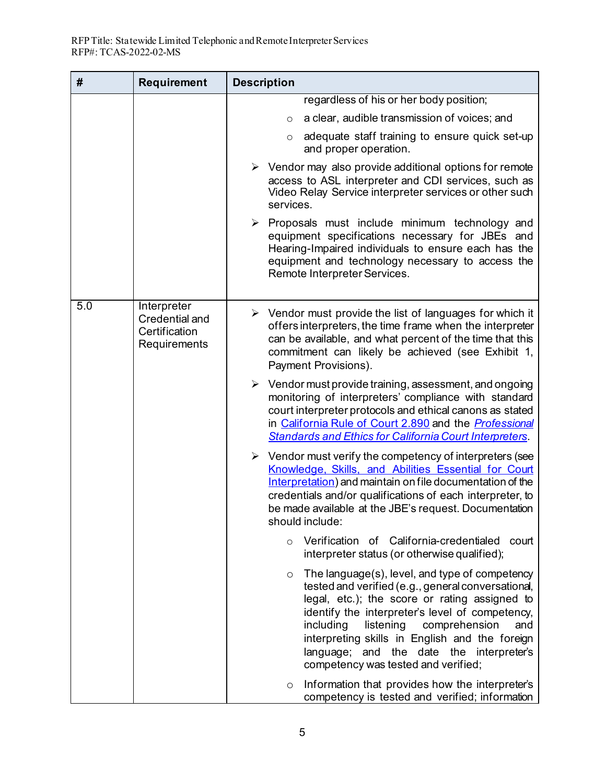| #   | <b>Requirement</b>                                             | <b>Description</b>                                                                                                                                                                                                                                                                                                                                                                                      |
|-----|----------------------------------------------------------------|---------------------------------------------------------------------------------------------------------------------------------------------------------------------------------------------------------------------------------------------------------------------------------------------------------------------------------------------------------------------------------------------------------|
|     |                                                                | regardless of his or her body position;                                                                                                                                                                                                                                                                                                                                                                 |
|     |                                                                | a clear, audible transmission of voices; and<br>$\circ$                                                                                                                                                                                                                                                                                                                                                 |
|     |                                                                | adequate staff training to ensure quick set-up<br>$\circ$<br>and proper operation.                                                                                                                                                                                                                                                                                                                      |
|     |                                                                | $\triangleright$ Vendor may also provide additional options for remote<br>access to ASL interpreter and CDI services, such as<br>Video Relay Service interpreter services or other such<br>services.                                                                                                                                                                                                    |
|     |                                                                | $\triangleright$ Proposals must include minimum technology and<br>equipment specifications necessary for JBEs and<br>Hearing-Impaired individuals to ensure each has the<br>equipment and technology necessary to access the<br>Remote Interpreter Services.                                                                                                                                            |
| 5.0 | Interpreter<br>Credential and<br>Certification<br>Requirements | $\triangleright$ Vendor must provide the list of languages for which it<br>offers interpreters, the time frame when the interpreter<br>can be available, and what percent of the time that this<br>commitment can likely be achieved (see Exhibit 1,<br>Payment Provisions).                                                                                                                            |
|     |                                                                | $\triangleright$ Vendor must provide training, assessment, and ongoing<br>monitoring of interpreters' compliance with standard<br>court interpreter protocols and ethical canons as stated<br>in California Rule of Court 2.890 and the <i>Professional</i><br><b>Standards and Ethics for California Court Interpreters.</b>                                                                           |
|     |                                                                | $\triangleright$ Vendor must verify the competency of interpreters (see<br>Knowledge, Skills, and Abilities Essential for Court<br>Interpretation) and maintain on file documentation of the<br>credentials and/or qualifications of each interpreter, to<br>be made available at the JBE's request. Documentation<br>should include:                                                                   |
|     |                                                                | Verification of California-credentialed<br>court<br>$\circ$<br>interpreter status (or otherwise qualified);                                                                                                                                                                                                                                                                                             |
|     |                                                                | The language(s), level, and type of competency<br>$\circ$<br>tested and verified (e.g., general conversational,<br>legal, etc.); the score or rating assigned to<br>identify the interpreter's level of competency,<br>including<br>listening comprehension<br>and<br>interpreting skills in English and the foreign<br>language; and the date the interpreter's<br>competency was tested and verified; |
|     |                                                                | Information that provides how the interpreter's<br>$\circ$<br>competency is tested and verified; information                                                                                                                                                                                                                                                                                            |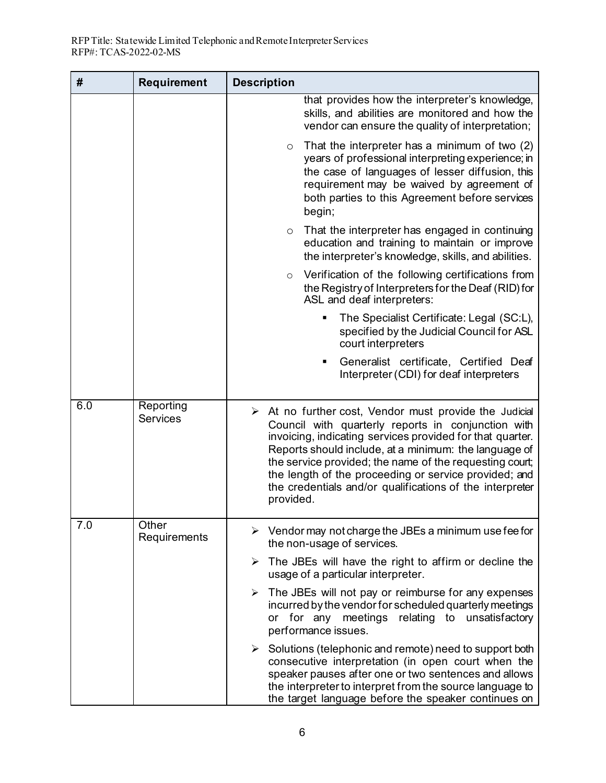| #   | <b>Requirement</b>           | <b>Description</b>                                                                                                                                                                                                                                                                                                                                                                                                                             |
|-----|------------------------------|------------------------------------------------------------------------------------------------------------------------------------------------------------------------------------------------------------------------------------------------------------------------------------------------------------------------------------------------------------------------------------------------------------------------------------------------|
|     |                              | that provides how the interpreter's knowledge,<br>skills, and abilities are monitored and how the<br>vendor can ensure the quality of interpretation;                                                                                                                                                                                                                                                                                          |
|     |                              | That the interpreter has a minimum of two (2)<br>$\circ$<br>years of professional interpreting experience; in<br>the case of languages of lesser diffusion, this<br>requirement may be waived by agreement of<br>both parties to this Agreement before services<br>begin;                                                                                                                                                                      |
|     |                              | That the interpreter has engaged in continuing<br>$\circ$<br>education and training to maintain or improve<br>the interpreter's knowledge, skills, and abilities.                                                                                                                                                                                                                                                                              |
|     |                              | Verification of the following certifications from<br>$\circ$<br>the Registry of Interpreters for the Deaf (RID) for<br>ASL and deaf interpreters:                                                                                                                                                                                                                                                                                              |
|     |                              | The Specialist Certificate: Legal (SC:L),<br>п<br>specified by the Judicial Council for ASL<br>court interpreters                                                                                                                                                                                                                                                                                                                              |
|     |                              | Generalist certificate, Certified Deaf<br>Interpreter (CDI) for deaf interpreters                                                                                                                                                                                                                                                                                                                                                              |
| 6.0 | Reporting<br><b>Services</b> | $\triangleright$ At no further cost, Vendor must provide the Judicial<br>Council with quarterly reports in conjunction with<br>invoicing, indicating services provided for that quarter.<br>Reports should include, at a minimum: the language of<br>the service provided; the name of the requesting court;<br>the length of the proceeding or service provided; and<br>the credentials and/or qualifications of the interpreter<br>provided. |
| 7.0 | Other<br>Requirements        | $\triangleright$ Vendor may not charge the JBEs a minimum use fee for<br>the non-usage of services.                                                                                                                                                                                                                                                                                                                                            |
|     |                              | $\triangleright$ The JBEs will have the right to affirm or decline the<br>usage of a particular interpreter.                                                                                                                                                                                                                                                                                                                                   |
|     |                              | The JBEs will not pay or reimburse for any expenses<br>≻<br>incurred by the vendor for scheduled quarterly meetings<br>or for any meetings relating to unsatisfactory<br>performance issues.                                                                                                                                                                                                                                                   |
|     |                              | $\triangleright$ Solutions (telephonic and remote) need to support both<br>consecutive interpretation (in open court when the<br>speaker pauses after one or two sentences and allows<br>the interpreter to interpret from the source language to<br>the target language before the speaker continues on                                                                                                                                       |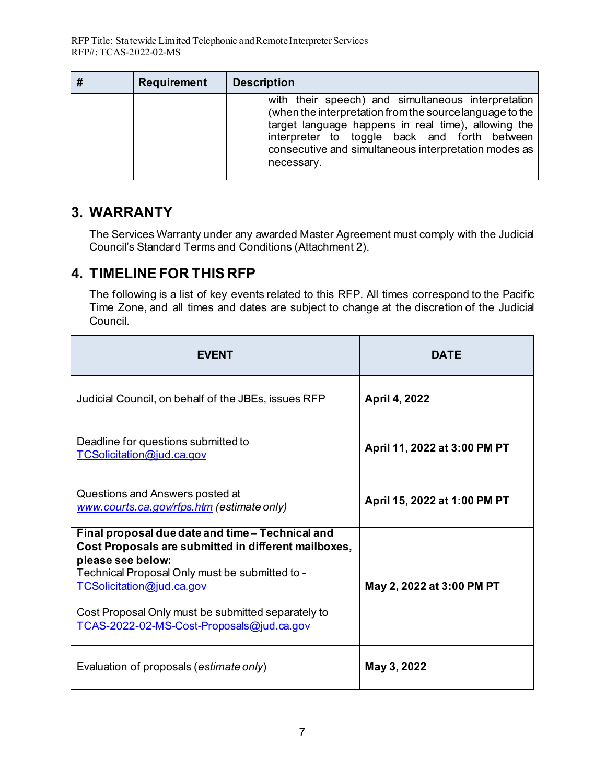| <b>Requirement</b> | <b>Description</b>                                                                                                                                                                                                                                                                          |
|--------------------|---------------------------------------------------------------------------------------------------------------------------------------------------------------------------------------------------------------------------------------------------------------------------------------------|
|                    | with their speech) and simultaneous interpretation<br>(when the interpretation from the source language to the<br>target language happens in real time), allowing the<br>interpreter to toggle back and forth between<br>consecutive and simultaneous interpretation modes as<br>necessary. |

### <span id="page-11-0"></span>**3. WARRANTY**

The Services Warranty under any awarded Master Agreement must comply with the Judicial Council's Standard Terms and Conditions (Attachment 2).

# <span id="page-11-1"></span>**4. TIMELINE FOR THIS RFP**

The following is a list of key events related to this RFP. All times correspond to the Pacific Time Zone, and all times and dates are subject to change at the discretion of the Judicial Council.

| <b>FVFNT</b>                                                                                                                                                                                                                                                                                                    | <b>DATE</b>                  |
|-----------------------------------------------------------------------------------------------------------------------------------------------------------------------------------------------------------------------------------------------------------------------------------------------------------------|------------------------------|
| Judicial Council, on behalf of the JBEs, issues RFP                                                                                                                                                                                                                                                             | April 4, 2022                |
| Deadline for questions submitted to<br>TCSolicitation@jud.ca.gov                                                                                                                                                                                                                                                | April 11, 2022 at 3:00 PM PT |
| Questions and Answers posted at<br>www.courts.ca.gov/rfps.htm (estimate only)                                                                                                                                                                                                                                   | April 15, 2022 at 1:00 PM PT |
| Final proposal due date and time - Technical and<br>Cost Proposals are submitted in different mailboxes,<br>please see below:<br>Technical Proposal Only must be submitted to -<br>TCSolicitation@jud.ca.gov<br>Cost Proposal Only must be submitted separately to<br>TCAS-2022-02-MS-Cost-Proposals@jud.ca.gov | May 2, 2022 at 3:00 PM PT    |
| Evaluation of proposals (estimate only)                                                                                                                                                                                                                                                                         | May 3, 2022                  |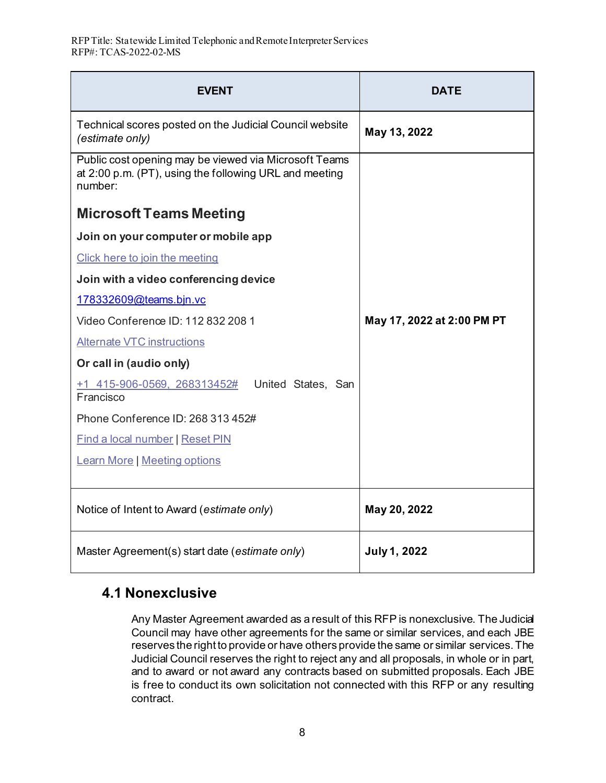| <b>EVENT</b>                                                                                                               | <b>DATE</b>                |
|----------------------------------------------------------------------------------------------------------------------------|----------------------------|
| Technical scores posted on the Judicial Council website<br>(estimate only)                                                 | May 13, 2022               |
| Public cost opening may be viewed via Microsoft Teams<br>at 2:00 p.m. (PT), using the following URL and meeting<br>number: |                            |
| <b>Microsoft Teams Meeting</b>                                                                                             |                            |
| Join on your computer or mobile app                                                                                        |                            |
| Click here to join the meeting                                                                                             |                            |
| Join with a video conferencing device                                                                                      |                            |
| 178332609@teams.bjn.vc                                                                                                     |                            |
| Video Conference ID: 112 832 208 1                                                                                         | May 17, 2022 at 2:00 PM PT |
| <b>Alternate VTC instructions</b>                                                                                          |                            |
| Or call in (audio only)                                                                                                    |                            |
| $+1$ 415-906-0569, 268313452# United States, San<br>Francisco                                                              |                            |
| Phone Conference ID: 268 313 452#                                                                                          |                            |
| <b>Find a local number   Reset PIN</b>                                                                                     |                            |
| <b>Learn More   Meeting options</b>                                                                                        |                            |
|                                                                                                                            |                            |
| Notice of Intent to Award (estimate only)                                                                                  | May 20, 2022               |
| Master Agreement(s) start date (estimate only)                                                                             | <b>July 1, 2022</b>        |

# <span id="page-12-0"></span> **4.1 Nonexclusive**

Any Master Agreement awarded as a result of this RFP is nonexclusive. The Judicial Council may have other agreements for the same or similar services, and each JBE reserves the right to provide or have others provide the same or similar services. The Judicial Council reserves the right to reject any and all proposals, in whole or in part, and to award or not award any contracts based on submitted proposals. Each JBE is free to conduct its own solicitation not connected with this RFP or any resulting contract.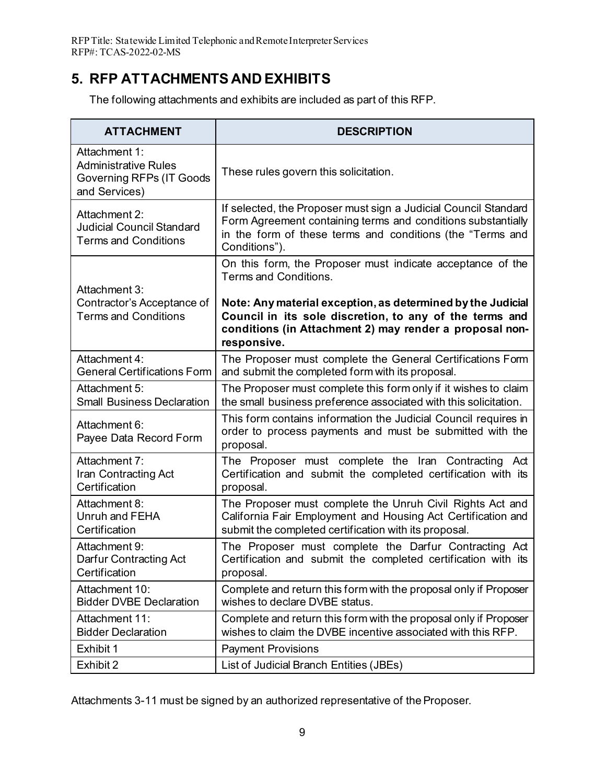RFP Title: Statewide Limited Telephonic and Remote Interpreter Services RFP#: TCAS-2022-02-MS

# <span id="page-13-0"></span>**5. RFP ATTACHMENTS AND EXHIBITS**

The following attachments and exhibits are included as part of this RFP.

| <b>ATTACHMENT</b>                                                                                | <b>DESCRIPTION</b>                                                                                                                                                                                            |
|--------------------------------------------------------------------------------------------------|---------------------------------------------------------------------------------------------------------------------------------------------------------------------------------------------------------------|
| Attachment 1:<br><b>Administrative Rules</b><br><b>Governing RFPs (IT Goods</b><br>and Services) | These rules govern this solicitation.                                                                                                                                                                         |
| Attachment 2:<br>Judicial Council Standard<br><b>Terms and Conditions</b>                        | If selected, the Proposer must sign a Judicial Council Standard<br>Form Agreement containing terms and conditions substantially<br>in the form of these terms and conditions (the "Terms and<br>Conditions"). |
| Attachment 3:                                                                                    | On this form, the Proposer must indicate acceptance of the<br>Terms and Conditions.                                                                                                                           |
| Contractor's Acceptance of<br><b>Terms and Conditions</b>                                        | Note: Any material exception, as determined by the Judicial<br>Council in its sole discretion, to any of the terms and<br>conditions (in Attachment 2) may render a proposal non-<br>responsive.              |
| Attachment 4:<br><b>General Certifications Form</b>                                              | The Proposer must complete the General Certifications Form<br>and submit the completed form with its proposal.                                                                                                |
| Attachment 5:<br><b>Small Business Declaration</b>                                               | The Proposer must complete this form only if it wishes to claim<br>the small business preference associated with this solicitation.                                                                           |
| Attachment 6:<br>Payee Data Record Form                                                          | This form contains information the Judicial Council requires in<br>order to process payments and must be submitted with the<br>proposal.                                                                      |
| Attachment 7:<br>Iran Contracting Act<br>Certification                                           | The Proposer must complete the Iran Contracting Act<br>Certification and submit the completed certification with its<br>proposal.                                                                             |
| Attachment 8:<br>Unruh and FEHA<br>Certification                                                 | The Proposer must complete the Unruh Civil Rights Act and<br>California Fair Employment and Housing Act Certification and<br>submit the completed certification with its proposal.                            |
| Attachment 9:<br>Darfur Contracting Act<br>Certification                                         | The Proposer must complete the Darfur Contracting Act<br>Certification and submit the completed certification with its<br>proposal.                                                                           |
| Attachment 10:<br><b>Bidder DVBE Declaration</b>                                                 | Complete and return this form with the proposal only if Proposer<br>wishes to declare DVBE status.                                                                                                            |
| Attachment 11:<br><b>Bidder Declaration</b>                                                      | Complete and return this form with the proposal only if Proposer<br>wishes to claim the DVBE incentive associated with this RFP.                                                                              |
| Exhibit 1                                                                                        | <b>Payment Provisions</b>                                                                                                                                                                                     |
| Exhibit 2                                                                                        | List of Judicial Branch Entities (JBEs)                                                                                                                                                                       |

Attachments 3-11 must be signed by an authorized representative of the Proposer.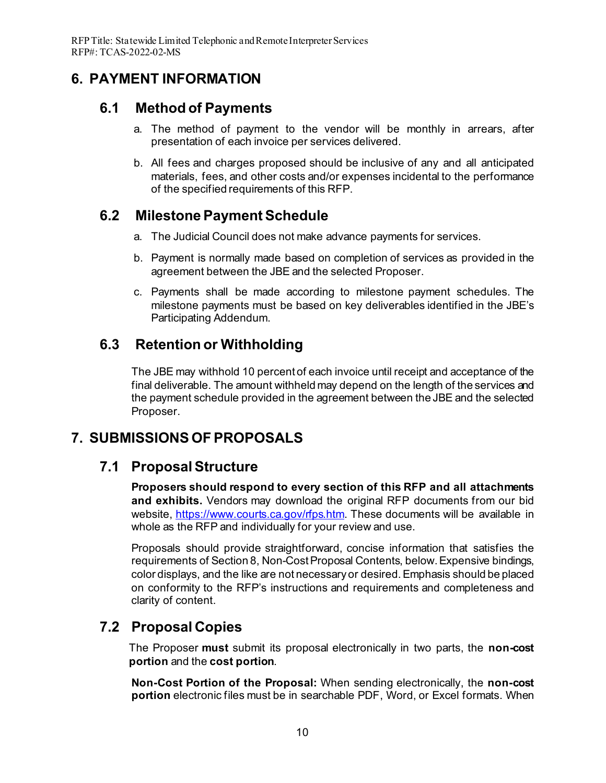# <span id="page-14-1"></span><span id="page-14-0"></span>**6. PAYMENT INFORMATION**

### **6.1 Method of Payments**

- a. The method of payment to the vendor will be monthly in arrears, after presentation of each invoice per services delivered.
- b. All fees and charges proposed should be inclusive of any and all anticipated materials, fees, and other costs and/or expenses incidental to the performance of the specified requirements of this RFP.

# <span id="page-14-2"></span>**6.2 Milestone Payment Schedule**

- a. The Judicial Council does not make advance payments for services.
- b. Payment is normally made based on completion of services as provided in the agreement between the JBE and the selected Proposer.
- c. Payments shall be made according to milestone payment schedules. The milestone payments must be based on key deliverables identified in the JBE's Participating Addendum.

# <span id="page-14-3"></span>**6.3 Retention or Withholding**

The JBE may withhold 10 percent of each invoice until receipt and acceptance of the final deliverable. The amount withheld may depend on the length of the services and the payment schedule provided in the agreement between the JBE and the selected Proposer.

# <span id="page-14-5"></span><span id="page-14-4"></span>**7. SUBMISSIONS OF PROPOSALS**

# **7.1 Proposal Structure**

**Proposers should respond to every section of this RFP and all attachments and exhibits.** Vendors may download the original RFP documents from our bid website,<https://www.courts.ca.gov/rfps.htm>. These documents will be available in whole as the RFP and individually for your review and use.

Proposals should provide straightforward, concise information that satisfies the requirements of Section 8, Non-Cost Proposal Contents, below. Expensive bindings, color displays, and the like are not necessary or desired.Emphasis should be placed on conformity to the RFP's instructions and requirements and completeness and clarity of content.

# <span id="page-14-6"></span>**7.2 Proposal Copies**

The Proposer **must** submit its proposal electronically in two parts, the **non-cost portion** and the **cost portion**.

**Non-Cost Portion of the Proposal:** When sending electronically, the **non-cost portion** electronic files must be in searchable PDF, Word, or Excel formats. When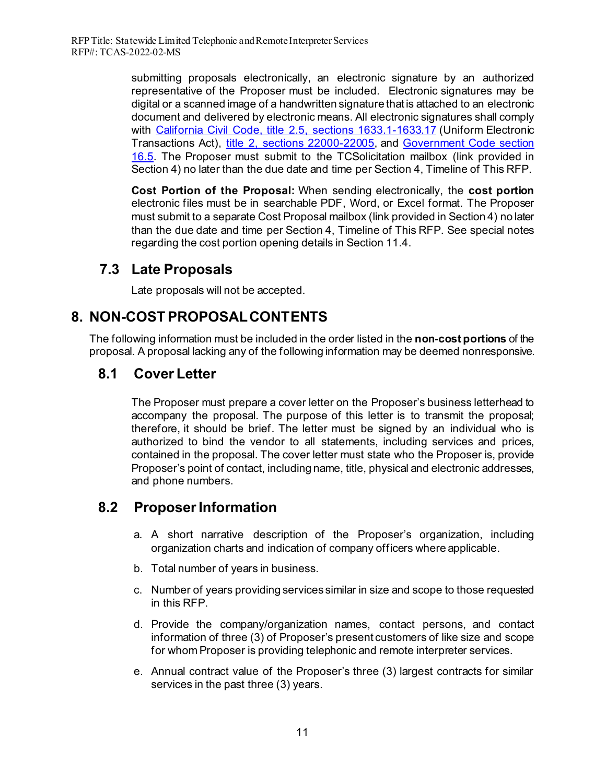submitting proposals electronically, an electronic signature by an authorized representative of the Proposer must be included. Electronic signatures may be digital or a scanned image of a handwritten signature that is attached to an electronic document and delivered by electronic means. All electronic signatures shall comply with [California Civil Code, title 2.5, sections 1633.1-1633.17](https://leginfo.legislature.ca.gov/faces/codes_displayText.xhtml?division=3.&part=2.&lawCode=CIV&title=2.5.) (Uniform Electronic Transactions Act), [title 2, sections 22000-22005](https://www.sos.ca.gov/administration/regulations/current-regulations/technology/digital-signatures), and [Government Code section](https://www.sos.ca.gov/administration/regulations/current-regulations/technology/digital-signatures/government-code-16-5)  [16.5.](https://www.sos.ca.gov/administration/regulations/current-regulations/technology/digital-signatures/government-code-16-5) The Proposer must submit to the TCSolicitation mailbox (link provided in Section 4) no later than the due date and time per Section 4, Timeline of This RFP.

**Cost Portion of the Proposal:** When sending electronically, the **cost portion** electronic files must be in searchable PDF, Word, or Excel format. The Proposer must submit to a separate Cost Proposal mailbox (link provided in Section 4) no later than the due date and time per Section 4, Timeline of This RFP. See special notes regarding the cost portion opening details in Section 11.4.

# <span id="page-15-0"></span>**7.3 Late Proposals**

Late proposals will not be accepted.

# <span id="page-15-1"></span>**8. NON-COST PROPOSAL CONTENTS**

The following information must be included in the order listed in the **non-cost portions** of the proposal. A proposal lacking any of the following information may be deemed nonresponsive.

# <span id="page-15-2"></span>**8.1 Cover Letter**

The Proposer must prepare a cover letter on the Proposer's business letterhead to accompany the proposal. The purpose of this letter is to transmit the proposal; therefore, it should be brief. The letter must be signed by an individual who is authorized to bind the vendor to all statements, including services and prices, contained in the proposal. The cover letter must state who the Proposer is, provide Proposer's point of contact, including name, title, physical and electronic addresses, and phone numbers.

# <span id="page-15-3"></span>**8.2 Proposer Information**

- a. A short narrative description of the Proposer's organization, including organization charts and indication of company officers where applicable.
- b. Total number of years in business.
- c. Number of years providing services similar in size and scope to those requested in this RFP.
- d. Provide the company/organization names, contact persons, and contact information of three (3) of Proposer's present customers of like size and scope for whom Proposer is providing telephonic and remote interpreter services.
- e. Annual contract value of the Proposer's three (3) largest contracts for similar services in the past three (3) years.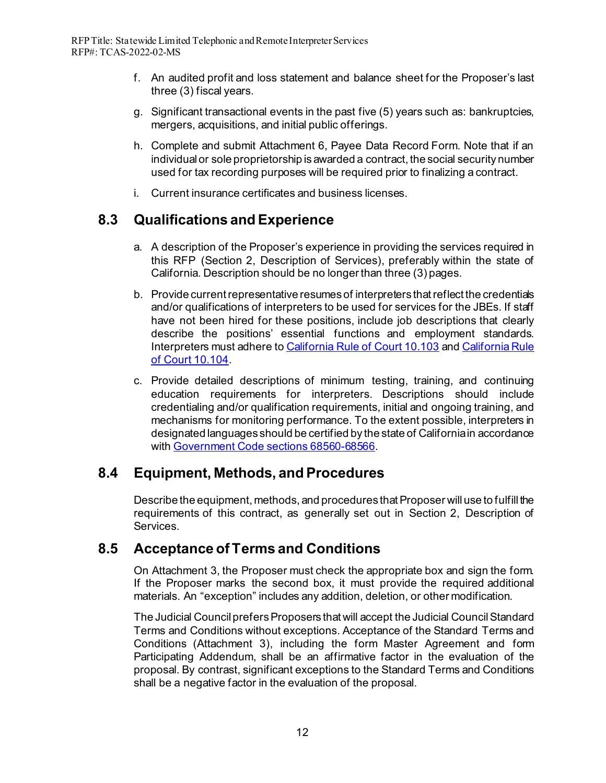- f. An audited profit and loss statement and balance sheet for the Proposer's last three (3) fiscal years.
- g. Significant transactional events in the past five (5) years such as: bankruptcies, mergers, acquisitions, and initial public offerings.
- h. Complete and submit Attachment 6, Payee Data Record Form. Note that if an individual or sole proprietorship is awarded a contract, the social security number used for tax recording purposes will be required prior to finalizing a contract.
- i. Current insurance certificates and business licenses.

# <span id="page-16-0"></span>**8.3 Qualifications and Experience**

- a. A description of the Proposer's experience in providing the services required in this RFP (Section 2, Description of Services), preferably within the state of California. Description should be no longer than three (3) pages.
- b. Provide current representative resumes of interpreters that reflect the credentials and/or qualifications of interpreters to be used for services for the JBEs. If staff have not been hired for these positions, include job descriptions that clearly describe the positions' essential functions and employment standards. Interpreters must adhere to [California Rule of Court 10.103](https://www.courts.ca.gov/cms/rules/index.cfm?title=ten&linkid=rule10_103) and [California Rule](https://www.courts.ca.gov/cms/rules/index.cfm?title=ten&linkid=rule10_104)  [of Court 10.104](https://www.courts.ca.gov/cms/rules/index.cfm?title=ten&linkid=rule10_104).
- c. Provide detailed descriptions of minimum testing, training, and continuing education requirements for interpreters. Descriptions should include credentialing and/or qualification requirements, initial and ongoing training, and mechanisms for monitoring performance. To the extent possible, interpreters in designated languages should be certified by the state of California in accordance with [Government Code sections 68560-68566](https://leginfo.legislature.ca.gov/faces/codes_displayText.xhtml?chapter=2.&lawCode=GOV&title=8.&article=4.).

### <span id="page-16-1"></span>**8.4 Equipment, Methods, and Procedures**

Describe the equipment, methods, and procedures that Proposer will use to fulfill the requirements of this contract, as generally set out in Section 2, Description of Services.

### <span id="page-16-2"></span>**8.5 Acceptance of Terms and Conditions**

On Attachment 3, the Proposer must check the appropriate box and sign the form. If the Proposer marks the second box, it must provide the required additional materials. An "exception" includes any addition, deletion, or other modification.

The Judicial Councilprefers Proposers that will accept the Judicial CouncilStandard Terms and Conditions without exceptions. Acceptance of the Standard Terms and Conditions (Attachment 3), including the form Master Agreement and form Participating Addendum, shall be an affirmative factor in the evaluation of the proposal. By contrast, significant exceptions to the Standard Terms and Conditions shall be a negative factor in the evaluation of the proposal.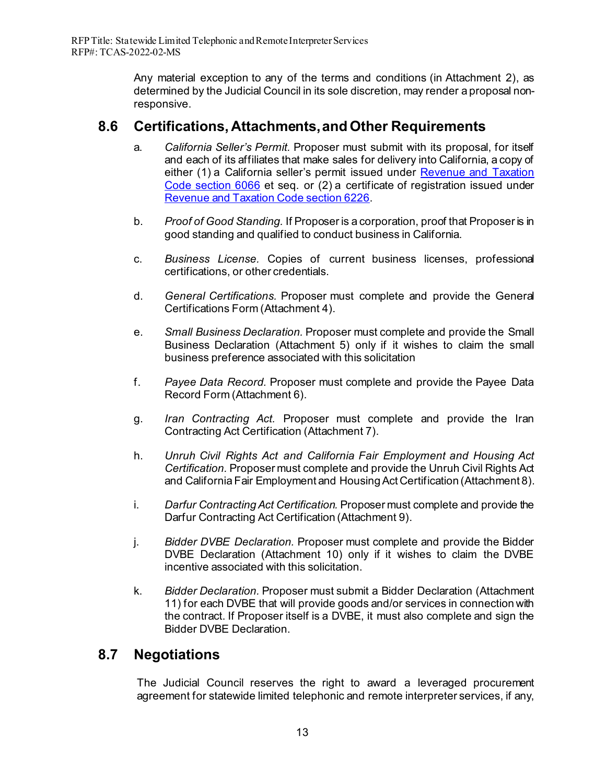Any material exception to any of the terms and conditions (in Attachment 2), as determined by the Judicial Council in its sole discretion, may render a proposal nonresponsive.

### <span id="page-17-0"></span>**8.6 Certifications, Attachments, and Other Requirements**

- a. *California Seller's Permit.* Proposer must submit with its proposal, for itself and each of its affiliates that make sales for delivery into California, a copy of either (1) a California seller's permit issued under Revenue and Taxation [Code section 6066](https://www.cdtfa.ca.gov/lawguides/vol1/sutl/6066.html) et seq. or (2) a certificate of registration issued under [Revenue and Taxation Code section 6226.](https://www.cdtfa.ca.gov/lawguides/vol1/sutl/6226.html#:%7E:text=Every%20retailer%20selling%20tangible%20personal,this%20State%2C%20and%20such%20other)
- b. *Proof of Good Standing.* If Proposer is a corporation, proof that Proposer is in good standing and qualified to conduct business in California.
- c. *Business License.* Copies of current business licenses, professional certifications, or other credentials.
- d. *General Certifications.* Proposer must complete and provide the General Certifications Form (Attachment 4).
- e. *Small Business Declaration.* Proposer must complete and provide the Small Business Declaration (Attachment 5) only if it wishes to claim the small business preference associated with this solicitation
- f. *Payee Data Record.* Proposer must complete and provide the Payee Data Record Form (Attachment 6).
- g. *Iran Contracting Act.* Proposer must complete and provide the Iran Contracting Act Certification (Attachment 7).
- h. *Unruh Civil Rights Act and California Fair Employment and Housing Act Certification.* Proposer must complete and provide the Unruh Civil Rights Act and California Fair Employment and Housing Act Certification (Attachment 8).
- i. *Darfur Contracting Act Certification.* Proposer must complete and provide the Darfur Contracting Act Certification (Attachment 9).
- j. *Bidder DVBE Declaration.* Proposer must complete and provide the Bidder DVBE Declaration (Attachment 10) only if it wishes to claim the DVBE incentive associated with this solicitation.
- k. *Bidder Declaration.* Proposer must submit a Bidder Declaration (Attachment 11) for each DVBE that will provide goods and/or services in connection with the contract. If Proposer itself is a DVBE, it must also complete and sign the Bidder DVBE Declaration.

### <span id="page-17-1"></span>**8.7 Negotiations**

The Judicial Council reserves the right to award a leveraged procurement agreement for statewide limited telephonic and remote interpreter services, if any,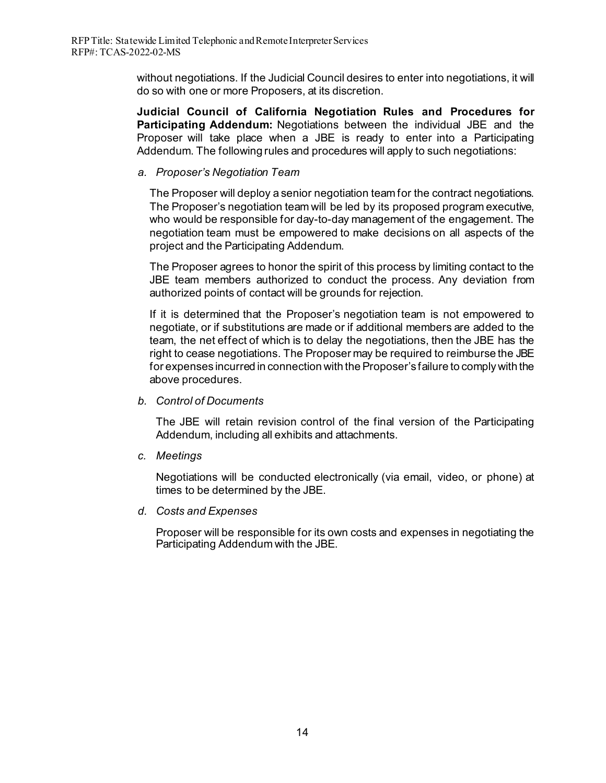without negotiations. If the Judicial Council desires to enter into negotiations, it will do so with one or more Proposers, at its discretion.

**Judicial Council of California Negotiation Rules and Procedures for Participating Addendum:** Negotiations between the individual JBE and the Proposer will take place when a JBE is ready to enter into a Participating Addendum. The following rules and procedures will apply to such negotiations:

#### *a. Proposer's Negotiation Team*

The Proposer will deploy a senior negotiation team for the contract negotiations. The Proposer's negotiation team will be led by its proposed program executive, who would be responsible for day-to-day management of the engagement. The negotiation team must be empowered to make decisions on all aspects of the project and the Participating Addendum.

The Proposer agrees to honor the spirit of this process by limiting contact to the JBE team members authorized to conduct the process. Any deviation from authorized points of contact will be grounds for rejection.

If it is determined that the Proposer's negotiation team is not empowered to negotiate, or if substitutions are made or if additional members are added to the team, the net effect of which is to delay the negotiations, then the JBE has the right to cease negotiations. The Proposer may be required to reimburse the JBE for expenses incurred in connection with the Proposer's failure to comply with the above procedures.

#### *b. Control of Documents*

The JBE will retain revision control of the final version of the Participating Addendum, including all exhibits and attachments.

*c. Meetings*

Negotiations will be conducted electronically (via email, video, or phone) at times to be determined by the JBE.

*d. Costs and Expenses*

Proposer will be responsible for its own costs and expenses in negotiating the Participating Addendum with the JBE.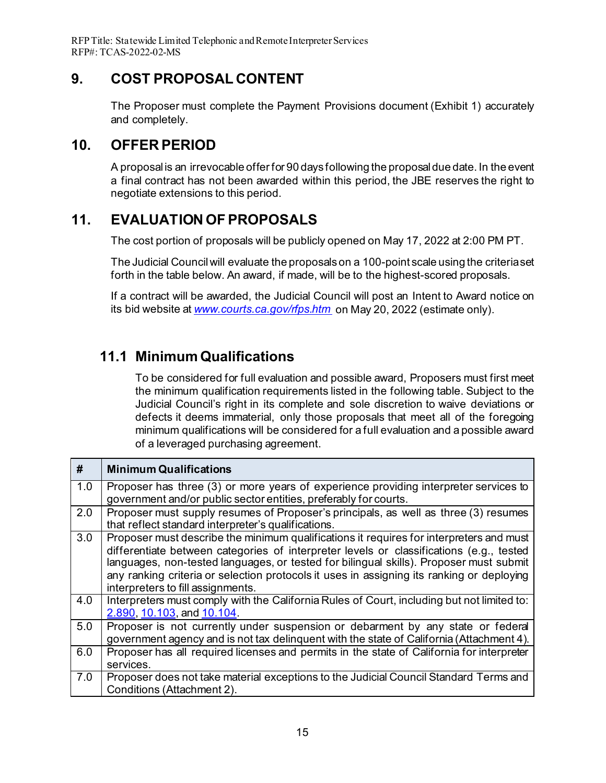RFP Title: Statewide Limited Telephonic and Remote Interpreter Services RFP#: TCAS-2022-02-MS

### **9. COST PROPOSAL CONTENT**

<span id="page-19-0"></span>The Proposer must complete the Payment Provisions document (Exhibit 1) accurately and completely.

### <span id="page-19-1"></span>**10. OFFER PERIOD**

A proposal is an irrevocable offer for 90 days following the proposal due date. In the event a final contract has not been awarded within this period, the JBE reserves the right to negotiate extensions to this period.

# <span id="page-19-2"></span>**11. EVALUATION OF PROPOSALS**

The cost portion of proposals will be publicly opened on May 17, 2022 at 2:00 PM PT.

The Judicial Councilwill evaluate the proposals on a 100-point scale using the criteria set forth in the table below. An award, if made, will be to the highest-scored proposals.

If a contract will be awarded, the Judicial Council will post an Intent to Award notice on its bid website at *[www.courts.ca.gov/rfps.htm](http://www.courts.ca.gov/rfps.htm%20on%20April%2014)* on May 20, 2022 (estimate only).

# <span id="page-19-3"></span>**11.1 Minimum Qualifications**

To be considered for full evaluation and possible award, Proposers must first meet the minimum qualification requirements listed in the following table. Subject to the Judicial Council's right in its complete and sole discretion to waive deviations or defects it deems immaterial, only those proposals that meet all of the foregoing minimum qualifications will be considered for a full evaluation and a possible award of a leveraged purchasing agreement.

| #   | <b>Minimum Qualifications</b>                                                                                                                                                                                                                                                                                                                                                                                  |
|-----|----------------------------------------------------------------------------------------------------------------------------------------------------------------------------------------------------------------------------------------------------------------------------------------------------------------------------------------------------------------------------------------------------------------|
| 1.0 | Proposer has three (3) or more years of experience providing interpreter services to<br>government and/or public sector entities, preferably for courts.                                                                                                                                                                                                                                                       |
| 2.0 | Proposer must supply resumes of Proposer's principals, as well as three (3) resumes<br>that reflect standard interpreter's qualifications.                                                                                                                                                                                                                                                                     |
| 3.0 | Proposer must describe the minimum qualifications it requires for interpreters and must<br>differentiate between categories of interpreter levels or classifications (e.g., tested<br>languages, non-tested languages, or tested for bilingual skills). Proposer must submit<br>any ranking criteria or selection protocols it uses in assigning its ranking or deploying<br>interpreters to fill assignments. |
| 4.0 | Interpreters must comply with the California Rules of Court, including but not limited to:<br>2.890, 10.103, and 10.104.                                                                                                                                                                                                                                                                                       |
| 5.0 | Proposer is not currently under suspension or debarment by any state or federal<br>government agency and is not tax delinquent with the state of California (Attachment 4).                                                                                                                                                                                                                                    |
| 6.0 | Proposer has all required licenses and permits in the state of California for interpreter<br>services.                                                                                                                                                                                                                                                                                                         |
| 7.0 | Proposer does not take material exceptions to the Judicial Council Standard Terms and<br>Conditions (Attachment 2).                                                                                                                                                                                                                                                                                            |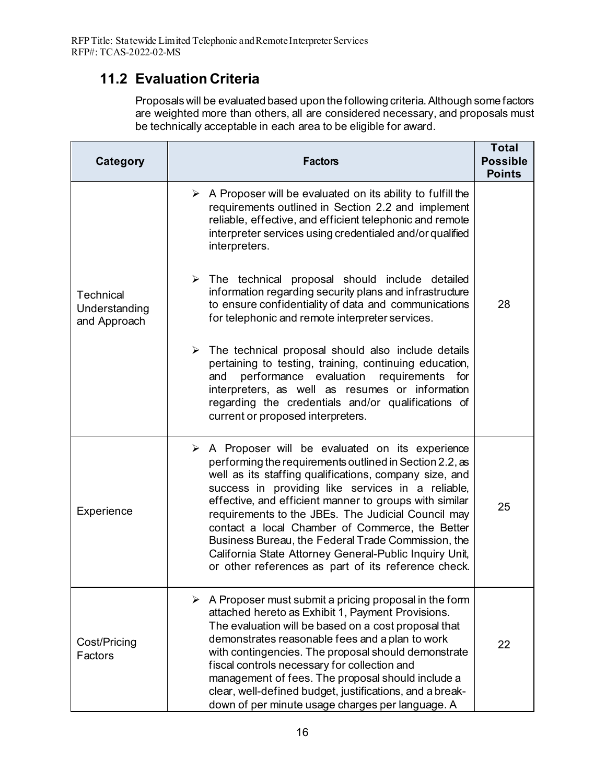# <span id="page-20-0"></span>**11.2 Evaluation Criteria**

Proposals will be evaluated based upon the following criteria. Although some factors are weighted more than others, all are considered necessary, and proposals must be technically acceptable in each area to be eligible for award.

| <b>Category</b>                                   | <b>Factors</b>                                                                                                                                                                                                                                                                                                                                                                                                                                                                                                                                                                                                                                                                                                                                   | <b>Total</b><br><b>Possible</b><br><b>Points</b> |
|---------------------------------------------------|--------------------------------------------------------------------------------------------------------------------------------------------------------------------------------------------------------------------------------------------------------------------------------------------------------------------------------------------------------------------------------------------------------------------------------------------------------------------------------------------------------------------------------------------------------------------------------------------------------------------------------------------------------------------------------------------------------------------------------------------------|--------------------------------------------------|
| <b>Technical</b><br>Understanding<br>and Approach | A Proposer will be evaluated on its ability to fulfill the<br>➤<br>requirements outlined in Section 2.2 and implement<br>reliable, effective, and efficient telephonic and remote<br>interpreter services using credentialed and/or qualified<br>interpreters.<br>$\triangleright$ The technical proposal should include detailed<br>information regarding security plans and infrastructure<br>to ensure confidentiality of data and communications<br>for telephonic and remote interpreter services.<br>$\triangleright$ The technical proposal should also include details<br>pertaining to testing, training, continuing education,<br>performance evaluation requirements<br>and<br>for<br>interpreters, as well as resumes or information | 28                                               |
|                                                   | regarding the credentials and/or qualifications of<br>current or proposed interpreters.                                                                                                                                                                                                                                                                                                                                                                                                                                                                                                                                                                                                                                                          |                                                  |
| Experience                                        | $\triangleright$ A Proposer will be evaluated on its experience<br>performing the requirements outlined in Section 2.2, as<br>well as its staffing qualifications, company size, and<br>success in providing like services in a reliable,<br>effective, and efficient manner to groups with similar<br>requirements to the JBEs. The Judicial Council may<br>contact a local Chamber of Commerce, the Better<br>Business Bureau, the Federal Trade Commission, the<br>California State Attorney General-Public Inquiry Unit,<br>or other references as part of its reference check.                                                                                                                                                              | 25                                               |
| Cost/Pricing<br>Factors                           | $\triangleright$ A Proposer must submit a pricing proposal in the form<br>attached hereto as Exhibit 1, Payment Provisions.<br>The evaluation will be based on a cost proposal that<br>demonstrates reasonable fees and a plan to work<br>with contingencies. The proposal should demonstrate<br>fiscal controls necessary for collection and<br>management of fees. The proposal should include a<br>clear, well-defined budget, justifications, and a break-<br>down of per minute usage charges per language. A                                                                                                                                                                                                                               | 22                                               |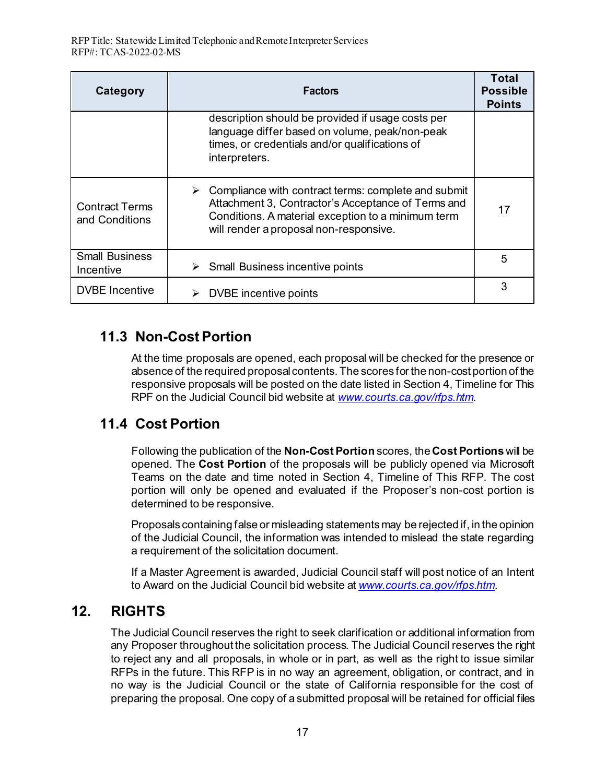| Category                                | <b>Factors</b>                                                                                                                                                                                                 | Total<br><b>Possible</b><br><b>Points</b> |
|-----------------------------------------|----------------------------------------------------------------------------------------------------------------------------------------------------------------------------------------------------------------|-------------------------------------------|
|                                         | description should be provided if usage costs per<br>language differ based on volume, peak/non-peak<br>times, or credentials and/or qualifications of<br>interpreters.                                         |                                           |
| <b>Contract Terms</b><br>and Conditions | Compliance with contract terms: complete and submit<br>➤<br>Attachment 3, Contractor's Acceptance of Terms and<br>Conditions. A material exception to a minimum term<br>will render a proposal non-responsive. | 17                                        |
| <b>Small Business</b><br>Incentive      | Small Business incentive points                                                                                                                                                                                | 5                                         |
| <b>DVBE</b> Incentive                   | DVBE incentive points                                                                                                                                                                                          | 3                                         |

### <span id="page-21-0"></span>**11.3 Non-Cost Portion**

At the time proposals are opened, each proposal will be checked for the presence or absence of the required proposal contents. The scores for the non-cost portion of the responsive proposals will be posted on the date listed in Section 4, Timeline for This RPF on the Judicial Council bid website at *[www.courts.ca.gov/rfps.htm.](http://www.courts.ca.gov/rfps.htm)* 

# <span id="page-21-1"></span>**11.4 Cost Portion**

Following the publication of the **Non-Cost Portion** scores, the **Cost Portions** will be opened. The **Cost Portion** of the proposals will be publicly opened via Microsoft Teams on the date and time noted in Section 4, Timeline of This RFP. The cost portion will only be opened and evaluated if the Proposer's non-cost portion is determined to be responsive.

Proposals containing false or misleading statements may be rejected if, in the opinion of the Judicial Council, the information was intended to mislead the state regarding a requirement of the solicitation document.

If a Master Agreement is awarded, Judicial Council staff will post notice of an Intent to Award on the Judicial Council bid website at *[www.courts.ca.gov/rfps.htm](http://www.courts.ca.gov/rfps.htm)*.

# <span id="page-21-2"></span>**12. RIGHTS**

The Judicial Council reserves the right to seek clarification or additional information from any Proposer throughout the solicitation process. The Judicial Council reserves the right to reject any and all proposals, in whole or in part, as well as the right to issue similar RFPs in the future. This RFP is in no way an agreement, obligation, or contract, and in no way is the Judicial Council or the state of California responsible for the cost of preparing the proposal. One copy of a submitted proposal will be retained for official files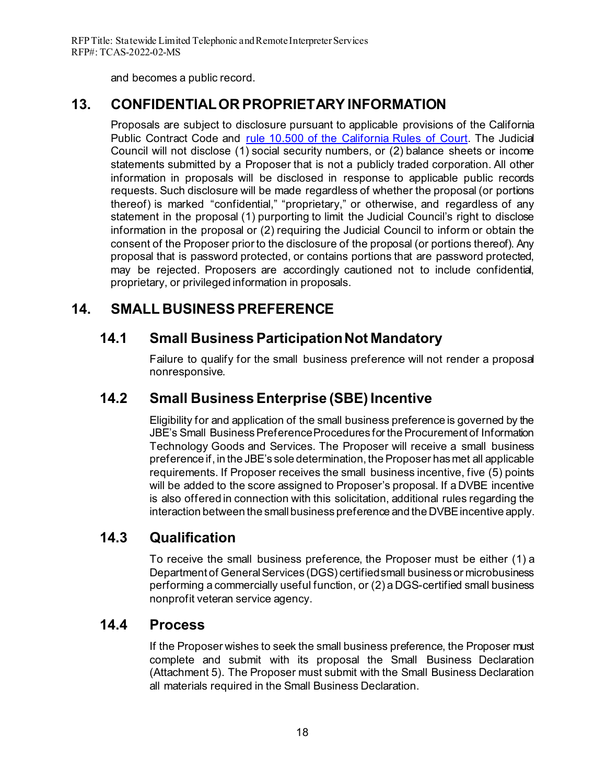and becomes a public record.

# <span id="page-22-0"></span>**13. CONFIDENTIAL OR PROPRIETARY INFORMATION**

Proposals are subject to disclosure pursuant to applicable provisions of the California Public Contract Code and [rule 10.500 of the California Rules of Court.](https://www.courts.ca.gov/cms/rules/index.cfm?title=ten&linkid=rule10_500) The Judicial Council will not disclose (1) social security numbers, or (2) balance sheets or income statements submitted by a Proposer that is not a publicly traded corporation. All other information in proposals will be disclosed in response to applicable public records requests. Such disclosure will be made regardless of whether the proposal (or portions thereof) is marked "confidential," "proprietary," or otherwise, and regardless of any statement in the proposal (1) purporting to limit the Judicial Council's right to disclose information in the proposal or (2) requiring the Judicial Council to inform or obtain the consent of the Proposer prior to the disclosure of the proposal (or portions thereof). Any proposal that is password protected, or contains portions that are password protected, may be rejected. Proposers are accordingly cautioned not to include confidential, proprietary, or privileged information in proposals.

# <span id="page-22-2"></span><span id="page-22-1"></span>**14. SMALL BUSINESS PREFERENCE**

# **14.1 Small Business Participation Not Mandatory**

Failure to qualify for the small business preference will not render a proposal nonresponsive.

# <span id="page-22-3"></span>**14.2 Small Business Enterprise (SBE) Incentive**

Eligibility for and application of the small business preference is governed by the JBE's Small Business Preference Procedures for the Procurement of Information Technology Goods and Services. The Proposer will receive a small business preference if, in the JBE's sole determination, the Proposer has met all applicable requirements. If Proposer receives the small business incentive, five (5) points will be added to the score assigned to Proposer's proposal. If a DVBE incentive is also offered in connection with this solicitation, additional rules regarding the interaction between the small business preference and the DVBE incentive apply.

# <span id="page-22-4"></span>**14.3 Qualification**

To receive the small business preference, the Proposer must be either (1) a Department of General Services (DGS) certified small business or microbusiness performing a commercially useful function, or (2) a DGS-certified small business nonprofit veteran service agency.

### <span id="page-22-5"></span>**14.4 Process**

If the Proposer wishes to seek the small business preference, the Proposer must complete and submit with its proposal the Small Business Declaration (Attachment 5). The Proposer must submit with the Small Business Declaration all materials required in the Small Business Declaration.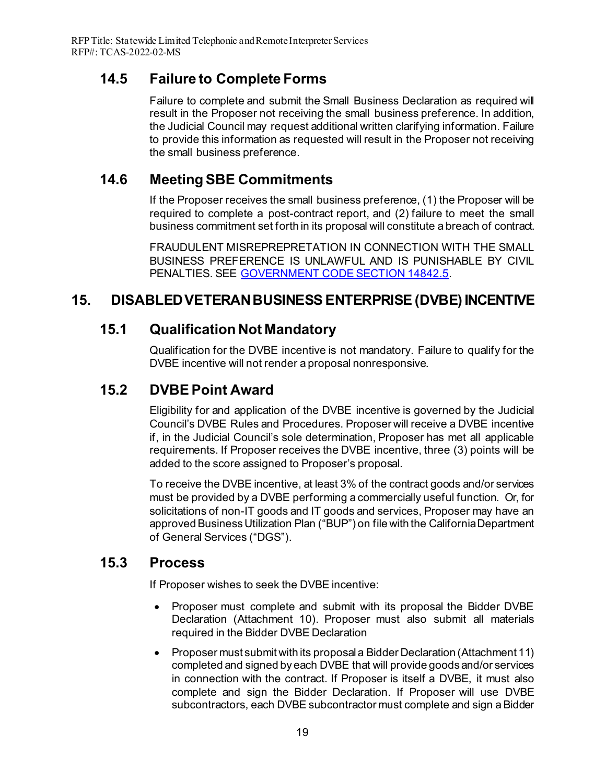# <span id="page-23-0"></span>**14.5 Failure to Complete Forms**

Failure to complete and submit the Small Business Declaration as required will result in the Proposer not receiving the small business preference. In addition, the Judicial Council may request additional written clarifying information. Failure to provide this information as requested will result in the Proposer not receiving the small business preference.

# <span id="page-23-1"></span>**14.6 Meeting SBE Commitments**

If the Proposer receives the small business preference, (1) the Proposer will be required to complete a post-contract report, and (2) failure to meet the small business commitment set forth in its proposal will constitute a breach of contract.

FRAUDULENT MISREPREPRETATION IN CONNECTION WITH THE SMALL BUSINESS PREFERENCE IS UNLAWFUL AND IS PUNISHABLE BY CIVIL PENALTIES. SEE [GOVERNMENT CODE SECTION 14842.5.](https://leginfo.legislature.ca.gov/faces/codes_displaySection.xhtml?lawCode=GOV§ionNum=14842.5.)

# <span id="page-23-3"></span><span id="page-23-2"></span>**15. DISABLED VETERAN BUSINESS ENTERPRISE (DVBE) INCENTIVE**

### **15.1 Qualification Not Mandatory**

Qualification for the DVBE incentive is not mandatory. Failure to qualify for the DVBE incentive will not render a proposal nonresponsive.

# <span id="page-23-4"></span>**15.2 DVBE Point Award**

Eligibility for and application of the DVBE incentive is governed by the Judicial Council's DVBE Rules and Procedures. Proposer will receive a DVBE incentive if, in the Judicial Council's sole determination, Proposer has met all applicable requirements. If Proposer receives the DVBE incentive, three (3) points will be added to the score assigned to Proposer's proposal.

To receive the DVBE incentive, at least 3% of the contract goods and/or services must be provided by a DVBE performing a commercially useful function. Or, for solicitations of non-IT goods and IT goods and services, Proposer may have an approved Business Utilization Plan ("BUP") on file with the California Department of General Services ("DGS").

### <span id="page-23-5"></span>**15.3 Process**

If Proposer wishes to seek the DVBE incentive:

- Proposer must complete and submit with its proposal the Bidder DVBE Declaration (Attachment 10). Proposer must also submit all materials required in the Bidder DVBE Declaration
- Proposer must submit with its proposal a Bidder Declaration (Attachment 11) completed and signed by each DVBE that will provide goods and/or services in connection with the contract. If Proposer is itself a DVBE, it must also complete and sign the Bidder Declaration. If Proposer will use DVBE subcontractors, each DVBE subcontractor must complete and sign a Bidder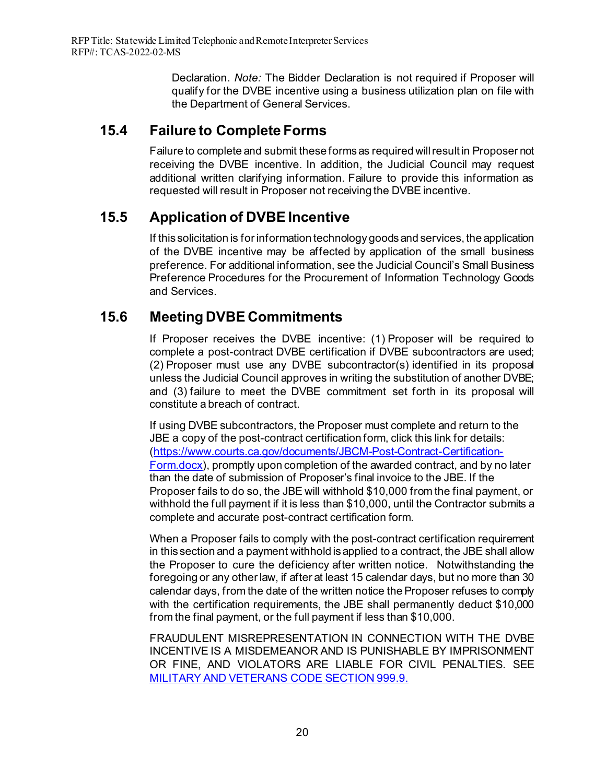Declaration. *Note:* The Bidder Declaration is not required if Proposer will qualify for the DVBE incentive using a business utilization plan on file with the Department of General Services.

# <span id="page-24-0"></span>**15.4 Failure to Complete Forms**

Failure to complete and submit these forms as required will result in Proposer not receiving the DVBE incentive. In addition, the Judicial Council may request additional written clarifying information. Failure to provide this information as requested will result in Proposer not receiving the DVBE incentive.

# <span id="page-24-1"></span>**15.5 Application of DVBE Incentive**

If this solicitation is for information technology goods and services, the application of the DVBE incentive may be affected by application of the small business preference. For additional information, see the Judicial Council's Small Business Preference Procedures for the Procurement of Information Technology Goods and Services.

# <span id="page-24-2"></span>**15.6 Meeting DVBE Commitments**

If Proposer receives the DVBE incentive: (1) Proposer will be required to complete a post-contract DVBE certification if DVBE subcontractors are used; (2) Proposer must use any DVBE subcontractor(s) identified in its proposal unless the Judicial Council approves in writing the substitution of another DVBE; and (3) failure to meet the DVBE commitment set forth in its proposal will constitute a breach of contract.

If using DVBE subcontractors, the Proposer must complete and return to the JBE a copy of the post-contract certification form, click this link for details: [\(https://www.courts.ca.gov/documents/JBCM-Post-Contract-Certification-](https://www.courts.ca.gov/documents/JBCM-Post-Contract-Certification-Form.docx)[Form.docx\)](https://www.courts.ca.gov/documents/JBCM-Post-Contract-Certification-Form.docx), promptly upon completion of the awarded contract, and by no later than the date of submission of Proposer's final invoice to the JBE. If the Proposer fails to do so, the JBE will withhold \$10,000 from the final payment, or withhold the full payment if it is less than \$10,000, until the Contractor submits a complete and accurate post-contract certification form.

When a Proposer fails to comply with the post-contract certification requirement in this section and a payment withhold is applied to a contract, the JBE shall allow the Proposer to cure the deficiency after written notice. Notwithstanding the foregoing or any other law, if after at least 15 calendar days, but no more than 30 calendar days, from the date of the written notice the Proposer refuses to comply with the certification requirements, the JBE shall permanently deduct \$10,000 from the final payment, or the full payment if less than \$10,000.

FRAUDULENT MISREPRESENTATION IN CONNECTION WITH THE DVBE INCENTIVE IS A MISDEMEANOR AND IS PUNISHABLE BY IMPRISONMENT OR FINE, AND VIOLATORS ARE LIABLE FOR CIVIL PENALTIES. SEE [MILITARY AND VETERANS CODE SECTION](https://leginfo.legislature.ca.gov/faces/codes_displaySection.xhtml?sectionNum=999.9.&lawCode=MVC) 999.9.